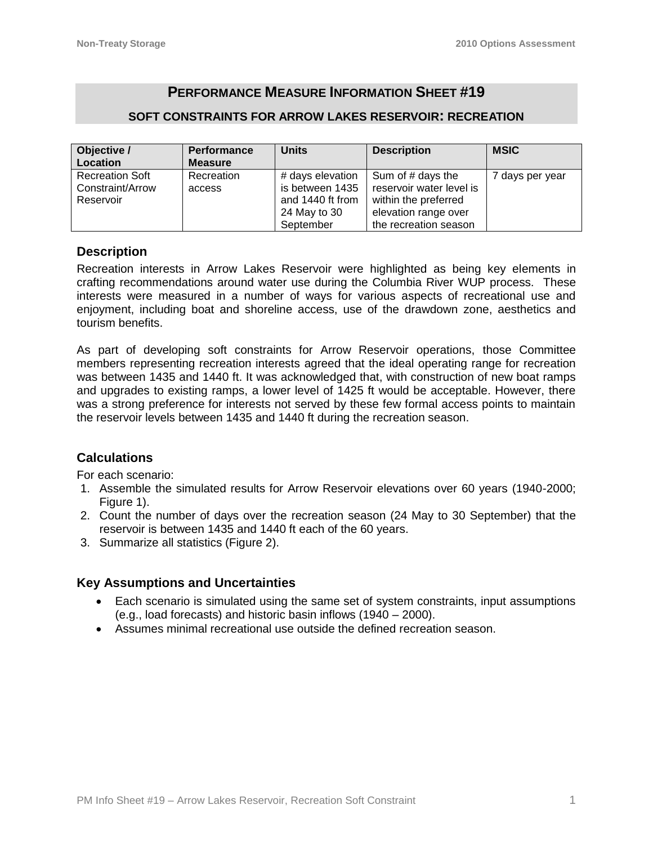# **PERFORMANCE MEASURE INFORMATION SHEET #19**

### **SOFT CONSTRAINTS FOR ARROW LAKES RESERVOIR: RECREATION**

| Objective /            | <b>Performance</b> | <b>Units</b>     | <b>Description</b>       | <b>MSIC</b>     |
|------------------------|--------------------|------------------|--------------------------|-----------------|
| Location               | <b>Measure</b>     |                  |                          |                 |
| <b>Recreation Soft</b> | Recreation         | # days elevation | Sum of # days the        | 7 days per year |
| Constraint/Arrow       | access             | is between 1435  | reservoir water level is |                 |
| Reservoir              |                    | and 1440 ft from | within the preferred     |                 |
|                        |                    | 24 May to 30     | elevation range over     |                 |
|                        |                    | September        | the recreation season    |                 |

#### **Description**

Recreation interests in Arrow Lakes Reservoir were highlighted as being key elements in crafting recommendations around water use during the Columbia River WUP process. These interests were measured in a number of ways for various aspects of recreational use and enjoyment, including boat and shoreline access, use of the drawdown zone, aesthetics and tourism benefits.

As part of developing soft constraints for Arrow Reservoir operations, those Committee members representing recreation interests agreed that the ideal operating range for recreation was between 1435 and 1440 ft. It was acknowledged that, with construction of new boat ramps and upgrades to existing ramps, a lower level of 1425 ft would be acceptable. However, there was a strong preference for interests not served by these few formal access points to maintain the reservoir levels between 1435 and 1440 ft during the recreation season.

# **Calculations**

For each scenario:

- 1. Assemble the simulated results for Arrow Reservoir elevations over 60 years (1940-2000; Figure 1).
- 2. Count the number of days over the recreation season (24 May to 30 September) that the reservoir is between 1435 and 1440 ft each of the 60 years.
- 3. Summarize all statistics (Figure 2).

# **Key Assumptions and Uncertainties**

- Each scenario is simulated using the same set of system constraints, input assumptions (e.g., load forecasts) and historic basin inflows (1940 – 2000).
- Assumes minimal recreational use outside the defined recreation season.